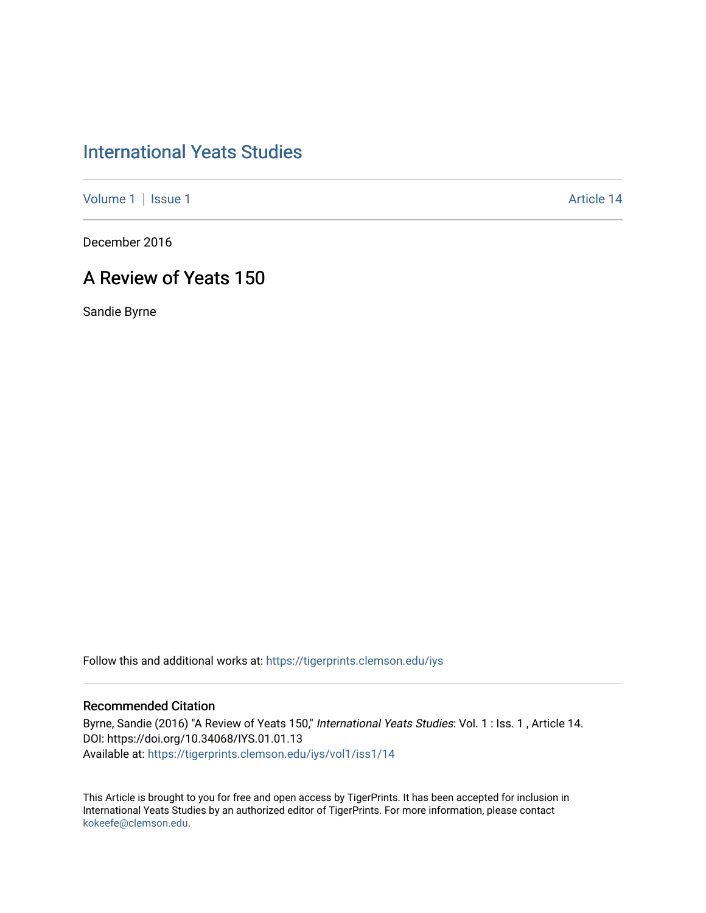# [International Yeats Studies](https://tigerprints.clemson.edu/iys)

[Volume 1](https://tigerprints.clemson.edu/iys/vol1) | [Issue 1](https://tigerprints.clemson.edu/iys/vol1/iss1) Article 14

December 2016

## A Review of Yeats 150

Sandie Byrne

Follow this and additional works at: [https://tigerprints.clemson.edu/iys](https://tigerprints.clemson.edu/iys?utm_source=tigerprints.clemson.edu%2Fiys%2Fvol1%2Fiss1%2F14&utm_medium=PDF&utm_campaign=PDFCoverPages) 

### Recommended Citation

Byrne, Sandie (2016) "A Review of Yeats 150," International Yeats Studies: Vol. 1 : Iss. 1, Article 14. DOI: https://doi.org/10.34068/IYS.01.01.13 Available at: [https://tigerprints.clemson.edu/iys/vol1/iss1/14](https://tigerprints.clemson.edu/iys/vol1/iss1/14?utm_source=tigerprints.clemson.edu%2Fiys%2Fvol1%2Fiss1%2F14&utm_medium=PDF&utm_campaign=PDFCoverPages) 

This Article is brought to you for free and open access by TigerPrints. It has been accepted for inclusion in International Yeats Studies by an authorized editor of TigerPrints. For more information, please contact [kokeefe@clemson.edu](mailto:kokeefe@clemson.edu).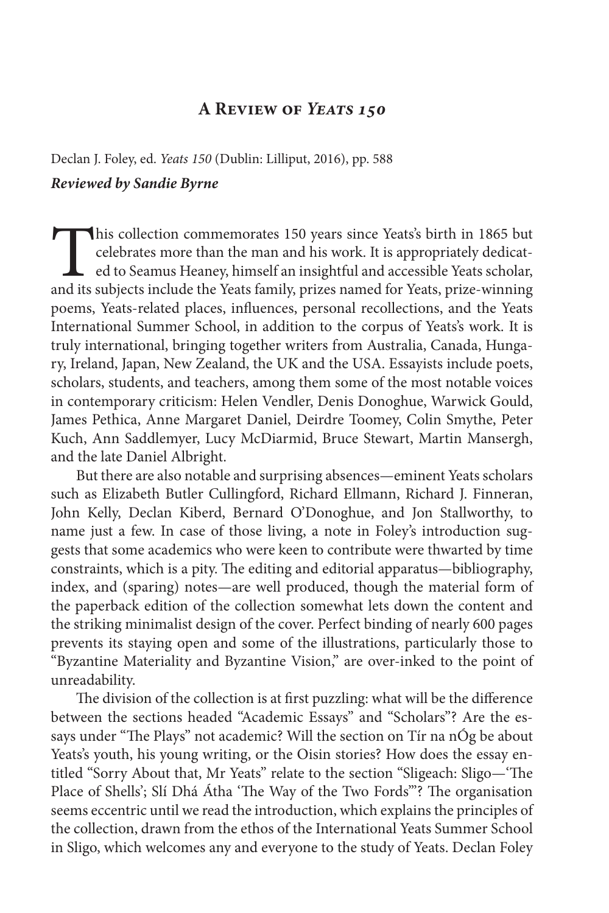### **A Review of** *Yeats 150*

Declan J. Foley, ed. *Yeats 150* (Dublin: Lilliput, 2016), pp. 588 *Reviewed by Sandie Byrne*

This collection commemorates 150 years since Yeats's birth in 1865 but celebrates more than the man and his work. It is appropriately dedicated to Seamus Heaney, himself an insightful and accessible Yeats scholar, and its subjects include the Yeats family, prizes named for Yeats, prize-winning poems, Yeats-related places, influences, personal recollections, and the Yeats International Summer School, in addition to the corpus of Yeats's work. It is truly international, bringing together writers from Australia, Canada, Hungary, Ireland, Japan, New Zealand, the UK and the USA. Essayists include poets, scholars, students, and teachers, among them some of the most notable voices in contemporary criticism: Helen Vendler, Denis Donoghue, Warwick Gould, James Pethica, Anne Margaret Daniel, Deirdre Toomey, Colin Smythe, Peter Kuch, Ann Saddlemyer, Lucy McDiarmid, Bruce Stewart, Martin Mansergh, and the late Daniel Albright.

But there are also notable and surprising absences—eminent Yeats scholars such as Elizabeth Butler Cullingford, Richard Ellmann, Richard J. Finneran, John Kelly, Declan Kiberd, Bernard O'Donoghue, and Jon Stallworthy, to name just a few. In case of those living, a note in Foley's introduction suggests that some academics who were keen to contribute were thwarted by time constraints, which is a pity. The editing and editorial apparatus—bibliography, index, and (sparing) notes—are well produced, though the material form of the paperback edition of the collection somewhat lets down the content and the striking minimalist design of the cover. Perfect binding of nearly 600 pages prevents its staying open and some of the illustrations, particularly those to "Byzantine Materiality and Byzantine Vision," are over-inked to the point of unreadability.

The division of the collection is at first puzzling: what will be the difference between the sections headed "Academic Essays" and "Scholars"? Are the essays under "The Plays" not academic? Will the section on Tír na nÓg be about Yeats's youth, his young writing, or the Oisin stories? How does the essay entitled "Sorry About that, Mr Yeats" relate to the section "Sligeach: Sligo-'The Place of Shells'; Slí Dhá Átha 'The Way of the Two Fords'"? The organisation seems eccentric until we read the introduction, which explains the principles of the collection, drawn from the ethos of the International Yeats Summer School in Sligo, which welcomes any and everyone to the study of Yeats. Declan Foley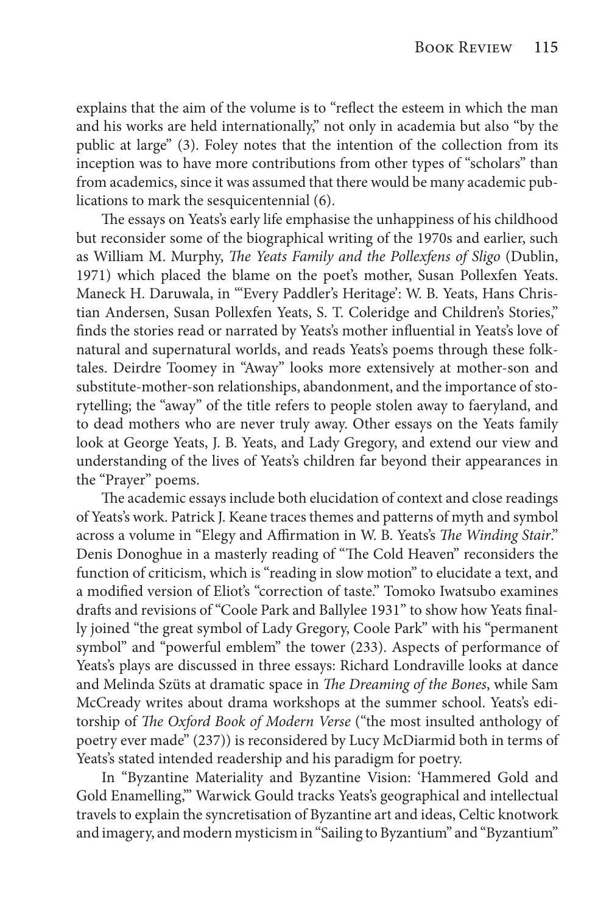explains that the aim of the volume is to "reflect the esteem in which the man and his works are held internationally," not only in academia but also "by the public at large" (3). Foley notes that the intention of the collection from its inception was to have more contributions from other types of "scholars" than from academics, since it was assumed that there would be many academic publications to mark the sesquicentennial (6).

The essays on Yeats's early life emphasise the unhappiness of his childhood but reconsider some of the biographical writing of the 1970s and earlier, such as William M. Murphy, *The Yeats Family and the Pollexfens of Sligo* (Dublin, 1971) which placed the blame on the poet's mother, Susan Pollexfen Yeats. Maneck H. Daruwala, in "'Every Paddler's Heritage': W. B. Yeats, Hans Christian Andersen, Susan Pollexfen Yeats, S. T. Coleridge and Children's Stories," finds the stories read or narrated by Yeats's mother influential in Yeats's love of natural and supernatural worlds, and reads Yeats's poems through these folktales. Deirdre Toomey in "Away" looks more extensively at mother-son and substitute-mother-son relationships, abandonment, and the importance of storytelling; the "away" of the title refers to people stolen away to faeryland, and to dead mothers who are never truly away. Other essays on the Yeats family look at George Yeats, J. B. Yeats, and Lady Gregory, and extend our view and understanding of the lives of Yeats's children far beyond their appearances in the "Prayer" poems.

The academic essays include both elucidation of context and close readings of Yeats's work. Patrick J. Keane traces themes and patterns of myth and symbol across a volume in "Elegy and Affirmation in W. B. Yeats's *The Winding Stair*." Denis Donoghue in a masterly reading of "The Cold Heaven" reconsiders the function of criticism, which is "reading in slow motion" to elucidate a text, and a modified version of Eliot's "correction of taste." Tomoko Iwatsubo examines drafts and revisions of "Coole Park and Ballylee 1931" to show how Yeats finally joined "the great symbol of Lady Gregory, Coole Park" with his "permanent symbol" and "powerful emblem" the tower (233). Aspects of performance of Yeats's plays are discussed in three essays: Richard Londraville looks at dance and Melinda Szüts at dramatic space in *The Dreaming of the Bones*, while Sam McCready writes about drama workshops at the summer school. Yeats's editorship of *The Oxford Book of Modern Verse* ("the most insulted anthology of poetry ever made" (237)) is reconsidered by Lucy McDiarmid both in terms of Yeats's stated intended readership and his paradigm for poetry.

In "Byzantine Materiality and Byzantine Vision: 'Hammered Gold and Gold Enamelling,'" Warwick Gould tracks Yeats's geographical and intellectual travels to explain the syncretisation of Byzantine art and ideas, Celtic knotwork and imagery, and modern mysticism in "Sailing to Byzantium" and "Byzantium"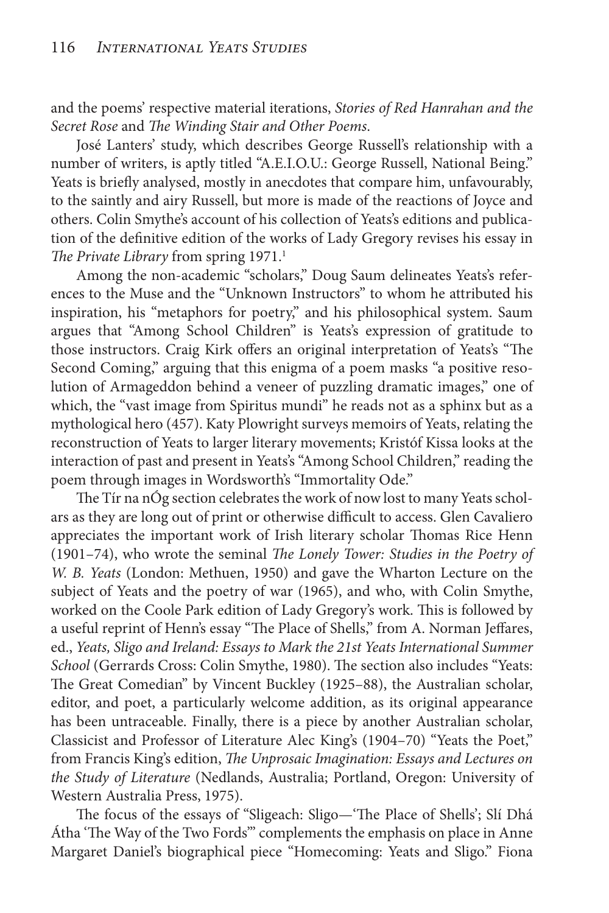and the poems' respective material iterations, *Stories of Red Hanrahan and the*  Secret Rose and *The Winding Stair and Other Poems*.

José Lanters' study, which describes George Russell's relationship with a number of writers, is aptly titled "A.E.I.O.U.: George Russell, National Being." Yeats is briefly analysed, mostly in anecdotes that compare him, unfavourably, to the saintly and airy Russell, but more is made of the reactions of Joyce and others. Colin Smythe's account of his collection of Yeats's editions and publication of the definitive edition of the works of Lady Gregory revises his essay in The Private Library from spring 1971.<sup>1</sup>

Among the non-academic "scholars," Doug Saum delineates Yeats's references to the Muse and the "Unknown Instructors" to whom he attributed his inspiration, his "metaphors for poetry," and his philosophical system. Saum argues that "Among School Children" is Yeats's expression of gratitude to those instructors. Craig Kirk offers an original interpretation of Yeats's "The Second Coming," arguing that this enigma of a poem masks "a positive resolution of Armageddon behind a veneer of puzzling dramatic images," one of which, the "vast image from Spiritus mundi" he reads not as a sphinx but as a mythological hero (457). Katy Plowright surveys memoirs of Yeats, relating the reconstruction of Yeats to larger literary movements; Kristóf Kissa looks at the interaction of past and present in Yeats's "Among School Children," reading the poem through images in Wordsworth's "Immortality Ode."

The Tír na nÓg section celebrates the work of now lost to many Yeats scholars as they are long out of print or otherwise difficult to access. Glen Cavaliero appreciates the important work of Irish literary scholar Thomas Rice Henn (1901–74), who wrote the seminal *The Lonely Tower: Studies in the Poetry of W. B. Yeats* (London: Methuen, 1950) and gave the Wharton Lecture on the subject of Yeats and the poetry of war (1965), and who, with Colin Smythe, worked on the Coole Park edition of Lady Gregory's work. This is followed by a useful reprint of Henn's essay "The Place of Shells," from A. Norman Jeffares, ed., *Yeats, Sligo and Ireland: Essays to Mark the 21st Yeats International Summer School* (Gerrards Cross: Colin Smythe, 1980). The section also includes "Yeats: The Great Comedian" by Vincent Buckley (1925–88), the Australian scholar, editor, and poet, a particularly welcome addition, as its original appearance has been untraceable. Finally, there is a piece by another Australian scholar, Classicist and Professor of Literature Alec King's (1904–70) "Yeats the Poet," from Francis King's edition, *The Unprosaic Imagination: Essays and Lectures on the Study of Literature* (Nedlands, Australia; Portland, Oregon: University of Western Australia Press, 1975).

The focus of the essays of "Sligeach: Sligo-'The Place of Shells'; Slí Dhá Átha 'The Way of the Two Fords"' complements the emphasis on place in Anne Margaret Daniel's biographical piece "Homecoming: Yeats and Sligo." Fiona